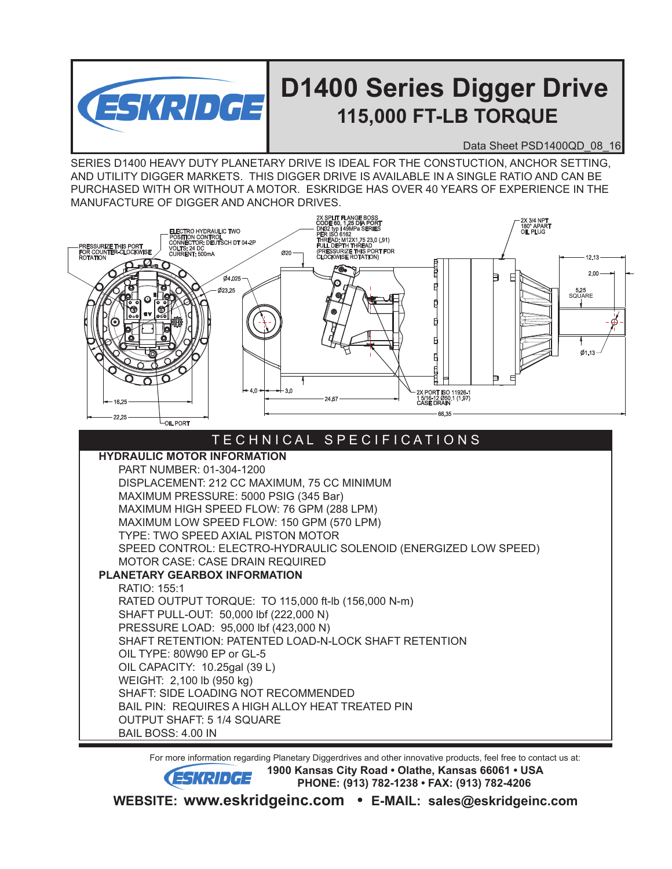

## **D1400 Series Digger Drive 115,000 FT-LB TORQUE**

Data Sheet PSD1400QD 08 16

SERIES D1400 HEAVY DUTY PLANETARY DRIVE IS IDEAL FOR THE CONSTUCTION, ANCHOR SETTING, AND UTILITY DIGGER MARKETS. THIS DIGGER DRIVE IS AVAILABLE IN A SINGLE RATIO AND CAN BE PURCHASED WITH OR WITHOUT A MOTOR. ESKRIDGE HAS OVER 40 YEARS OF EXPERIENCE IN THE MANUFACTURE OF DIGGER AND ANCHOR DRIVES.



 For more information regarding Planetary Diggerdrives and other innovative products, feel free to contact us at: **ESKRIDGE** <sup>1900</sup> Kansas City Road • Olathe, Kansas 66061 • USA  **PHONE: (913) 782-1238 • FAX: (913) 782-4206 WEBSITE: www.eskridgeinc.com • E-MAIL: sales@eskridgeinc.com**